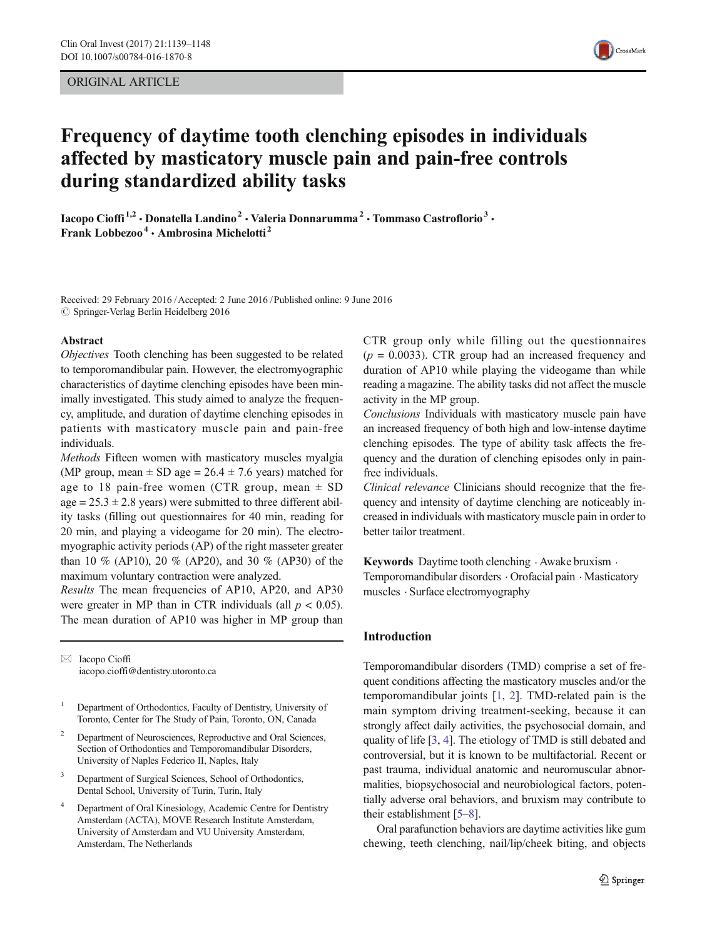ORIGINAL ARTICLE



# Frequency of daytime tooth clenching episodes in individuals affected by masticatory muscle pain and pain-free controls during standardized ability tasks

Iacopo Cioffi<sup>1,2</sup> · Donatella Landino<sup>2</sup> · Valeria Donnarumma<sup>2</sup> · Tommaso Castroflorio<sup>3</sup> · Frank Lobbezoo<sup>4</sup> · Ambrosina Michelotti<sup>2</sup>

Received: 29 February 2016 /Accepted: 2 June 2016 /Published online: 9 June 2016  $\oslash$  Springer-Verlag Berlin Heidelberg 2016

#### Abstract

Objectives Tooth clenching has been suggested to be related to temporomandibular pain. However, the electromyographic characteristics of daytime clenching episodes have been minimally investigated. This study aimed to analyze the frequency, amplitude, and duration of daytime clenching episodes in patients with masticatory muscle pain and pain-free individuals.

Methods Fifteen women with masticatory muscles myalgia (MP group, mean  $\pm$  SD age = 26.4  $\pm$  7.6 years) matched for age to 18 pain-free women (CTR group, mean  $\pm$  SD age  $= 25.3 \pm 2.8$  years) were submitted to three different ability tasks (filling out questionnaires for 40 min, reading for 20 min, and playing a videogame for 20 min). The electromyographic activity periods (AP) of the right masseter greater than 10 % (AP10), 20 % (AP20), and 30 % (AP30) of the maximum voluntary contraction were analyzed.

Results The mean frequencies of AP10, AP20, and AP30 were greater in MP than in CTR individuals (all  $p < 0.05$ ). The mean duration of AP10 was higher in MP group than

 $\boxtimes$  Iacopo Cioffi iacopo.cioffi@dentistry.utoronto.ca

- <sup>1</sup> Department of Orthodontics, Faculty of Dentistry, University of Toronto, Center for The Study of Pain, Toronto, ON, Canada
- Department of Neurosciences, Reproductive and Oral Sciences, Section of Orthodontics and Temporomandibular Disorders, University of Naples Federico II, Naples, Italy
- Department of Surgical Sciences, School of Orthodontics, Dental School, University of Turin, Turin, Italy
- <sup>4</sup> Department of Oral Kinesiology, Academic Centre for Dentistry Amsterdam (ACTA), MOVE Research Institute Amsterdam, University of Amsterdam and VU University Amsterdam, Amsterdam, The Netherlands

CTR group only while filling out the questionnaires  $(p = 0.0033)$ . CTR group had an increased frequency and duration of AP10 while playing the videogame than while reading a magazine. The ability tasks did not affect the muscle activity in the MP group.

Conclusions Individuals with masticatory muscle pain have an increased frequency of both high and low-intense daytime clenching episodes. The type of ability task affects the frequency and the duration of clenching episodes only in painfree individuals.

Clinical relevance Clinicians should recognize that the frequency and intensity of daytime clenching are noticeably increased in individuals with masticatory muscle pain in order to better tailor treatment.

Keywords Daytime tooth clenching  $\cdot$  Awake bruxism  $\cdot$ Temporomandibular disorders . Orofacial pain . Masticatory muscles . Surface electromyography

### Introduction

Temporomandibular disorders (TMD) comprise a set of frequent conditions affecting the masticatory muscles and/or the temporomandibular joints [\[1](#page-7-0), [2\]](#page-7-0). TMD-related pain is the main symptom driving treatment-seeking, because it can strongly affect daily activities, the psychosocial domain, and quality of life [[3,](#page-7-0) [4](#page-7-0)]. The etiology of TMD is still debated and controversial, but it is known to be multifactorial. Recent or past trauma, individual anatomic and neuromuscular abnormalities, biopsychosocial and neurobiological factors, potentially adverse oral behaviors, and bruxism may contribute to their establishment [\[5](#page-7-0)–[8\]](#page-7-0).

Oral parafunction behaviors are daytime activities like gum chewing, teeth clenching, nail/lip/cheek biting, and objects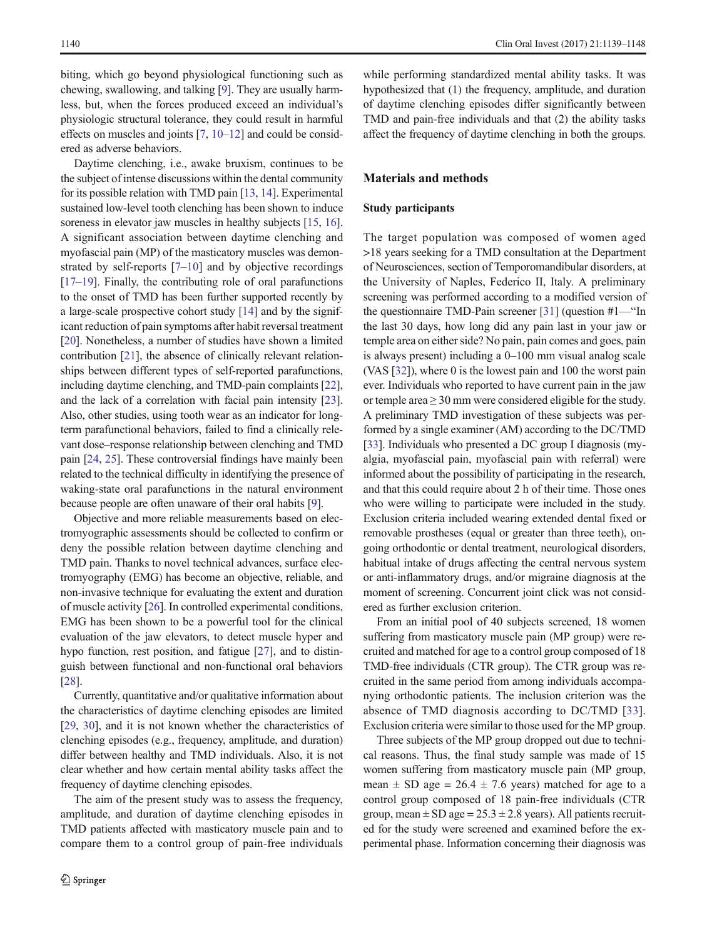biting, which go beyond physiological functioning such as chewing, swallowing, and talking [[9\]](#page-7-0). They are usually harmless, but, when the forces produced exceed an individual's physiologic structural tolerance, they could result in harmful effects on muscles and joints [\[7](#page-7-0), [10](#page-7-0)–[12\]](#page-8-0) and could be considered as adverse behaviors.

Daytime clenching, i.e., awake bruxism, continues to be the subject of intense discussions within the dental community for its possible relation with TMD pain [\[13](#page-8-0), [14](#page-8-0)]. Experimental sustained low-level tooth clenching has been shown to induce soreness in elevator jaw muscles in healthy subjects [[15,](#page-8-0) [16\]](#page-8-0). A significant association between daytime clenching and myofascial pain (MP) of the masticatory muscles was demonstrated by self-reports  $[7-10]$  $[7-10]$  $[7-10]$  and by objective recordings [\[17](#page-8-0)–[19\]](#page-8-0). Finally, the contributing role of oral parafunctions to the onset of TMD has been further supported recently by a large-scale prospective cohort study [\[14\]](#page-8-0) and by the significant reduction of pain symptoms after habit reversal treatment [\[20\]](#page-8-0). Nonetheless, a number of studies have shown a limited contribution [[21](#page-8-0)], the absence of clinically relevant relationships between different types of self-reported parafunctions, including daytime clenching, and TMD-pain complaints [[22\]](#page-8-0), and the lack of a correlation with facial pain intensity [[23\]](#page-8-0). Also, other studies, using tooth wear as an indicator for longterm parafunctional behaviors, failed to find a clinically relevant dose–response relationship between clenching and TMD pain [[24](#page-8-0), [25](#page-8-0)]. These controversial findings have mainly been related to the technical difficulty in identifying the presence of waking-state oral parafunctions in the natural environment because people are often unaware of their oral habits [\[9](#page-7-0)].

Objective and more reliable measurements based on electromyographic assessments should be collected to confirm or deny the possible relation between daytime clenching and TMD pain. Thanks to novel technical advances, surface electromyography (EMG) has become an objective, reliable, and non-invasive technique for evaluating the extent and duration of muscle activity [[26\]](#page-8-0). In controlled experimental conditions, EMG has been shown to be a powerful tool for the clinical evaluation of the jaw elevators, to detect muscle hyper and hypo function, rest position, and fatigue [\[27\]](#page-8-0), and to distinguish between functional and non-functional oral behaviors [\[28\]](#page-8-0).

Currently, quantitative and/or qualitative information about the characteristics of daytime clenching episodes are limited [\[29,](#page-8-0) [30\]](#page-8-0), and it is not known whether the characteristics of clenching episodes (e.g., frequency, amplitude, and duration) differ between healthy and TMD individuals. Also, it is not clear whether and how certain mental ability tasks affect the frequency of daytime clenching episodes.

The aim of the present study was to assess the frequency, amplitude, and duration of daytime clenching episodes in TMD patients affected with masticatory muscle pain and to compare them to a control group of pain-free individuals while performing standardized mental ability tasks. It was hypothesized that (1) the frequency, amplitude, and duration of daytime clenching episodes differ significantly between TMD and pain-free individuals and that (2) the ability tasks affect the frequency of daytime clenching in both the groups.

# Materials and methods

### Study participants

The target population was composed of women aged >18 years seeking for a TMD consultation at the Department of Neurosciences, section of Temporomandibular disorders, at the University of Naples, Federico II, Italy. A preliminary screening was performed according to a modified version of the questionnaire TMD-Pain screener [[31\]](#page-8-0) (question  $#1$ —"In the last 30 days, how long did any pain last in your jaw or temple area on either side? No pain, pain comes and goes, pain is always present) including a 0–100 mm visual analog scale (VAS [\[32\]](#page-8-0)), where 0 is the lowest pain and 100 the worst pain ever. Individuals who reported to have current pain in the jaw or temple area  $\geq$  30 mm were considered eligible for the study. A preliminary TMD investigation of these subjects was performed by a single examiner (AM) according to the DC/TMD [\[33](#page-8-0)]. Individuals who presented a DC group I diagnosis (myalgia, myofascial pain, myofascial pain with referral) were informed about the possibility of participating in the research, and that this could require about 2 h of their time. Those ones who were willing to participate were included in the study. Exclusion criteria included wearing extended dental fixed or removable prostheses (equal or greater than three teeth), ongoing orthodontic or dental treatment, neurological disorders, habitual intake of drugs affecting the central nervous system or anti-inflammatory drugs, and/or migraine diagnosis at the moment of screening. Concurrent joint click was not considered as further exclusion criterion.

From an initial pool of 40 subjects screened, 18 women suffering from masticatory muscle pain (MP group) were recruited and matched for age to a control group composed of 18 TMD-free individuals (CTR group). The CTR group was recruited in the same period from among individuals accompanying orthodontic patients. The inclusion criterion was the absence of TMD diagnosis according to DC/TMD [[33](#page-8-0)]. Exclusion criteria were similar to those used for the MP group.

Three subjects of the MP group dropped out due to technical reasons. Thus, the final study sample was made of 15 women suffering from masticatory muscle pain (MP group, mean  $\pm$  SD age = 26.4  $\pm$  7.6 years) matched for age to a control group composed of 18 pain-free individuals (CTR group, mean  $\pm$  SD age = 25.3  $\pm$  2.8 years). All patients recruited for the study were screened and examined before the experimental phase. Information concerning their diagnosis was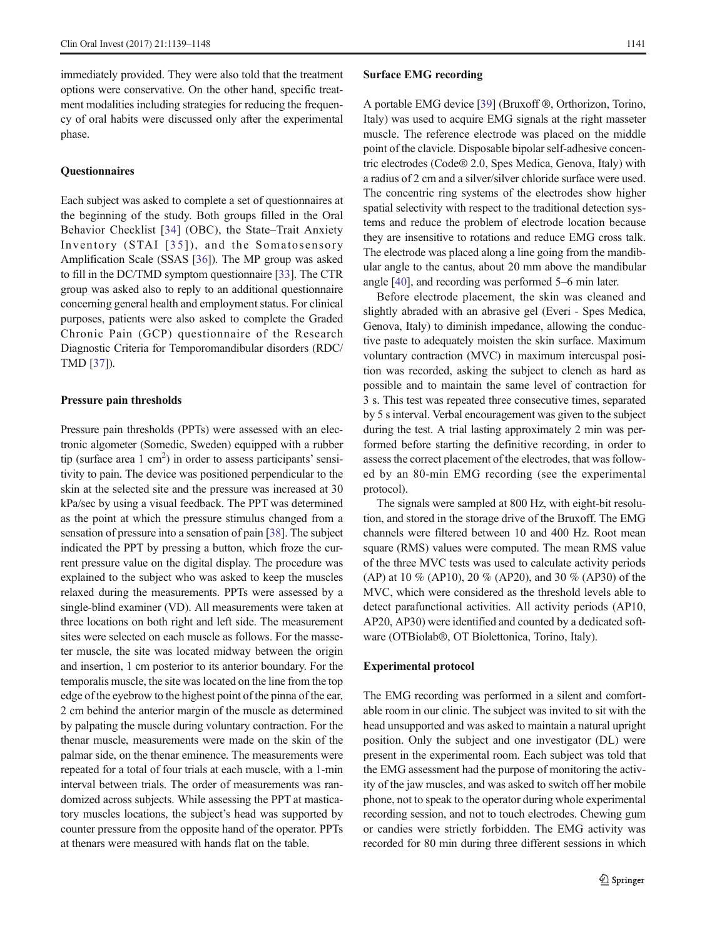immediately provided. They were also told that the treatment options were conservative. On the other hand, specific treatment modalities including strategies for reducing the frequency of oral habits were discussed only after the experimental phase.

#### **Ouestionnaires**

Each subject was asked to complete a set of questionnaires at the beginning of the study. Both groups filled in the Oral Behavior Checklist [[34\]](#page-8-0) (OBC), the State–Trait Anxiety Inventory (STAI [35]), and the Somatosensory Amplification Scale (SSAS [\[36](#page-8-0)]). The MP group was asked to fill in the DC/TMD symptom questionnaire [[33\]](#page-8-0). The CTR group was asked also to reply to an additional questionnaire concerning general health and employment status. For clinical purposes, patients were also asked to complete the Graded Chronic Pain (GCP) questionnaire of the Research Diagnostic Criteria for Temporomandibular disorders (RDC/ TMD [[37](#page-8-0)]).

# Pressure pain thresholds

Pressure pain thresholds (PPTs) were assessed with an electronic algometer (Somedic, Sweden) equipped with a rubber tip (surface area  $1 \text{ cm}^2$ ) in order to assess participants' sensitivity to pain. The device was positioned perpendicular to the skin at the selected site and the pressure was increased at 30 kPa/sec by using a visual feedback. The PPT was determined as the point at which the pressure stimulus changed from a sensation of pressure into a sensation of pain [\[38\]](#page-8-0). The subject indicated the PPT by pressing a button, which froze the current pressure value on the digital display. The procedure was explained to the subject who was asked to keep the muscles relaxed during the measurements. PPTs were assessed by a single-blind examiner (VD). All measurements were taken at three locations on both right and left side. The measurement sites were selected on each muscle as follows. For the masseter muscle, the site was located midway between the origin and insertion, 1 cm posterior to its anterior boundary. For the temporalis muscle, the site was located on the line from the top edge of the eyebrow to the highest point of the pinna of the ear, 2 cm behind the anterior margin of the muscle as determined by palpating the muscle during voluntary contraction. For the thenar muscle, measurements were made on the skin of the palmar side, on the thenar eminence. The measurements were repeated for a total of four trials at each muscle, with a 1-min interval between trials. The order of measurements was randomized across subjects. While assessing the PPT at masticatory muscles locations, the subject's head was supported by counter pressure from the opposite hand of the operator. PPTs at thenars were measured with hands flat on the table.

#### Surface EMG recording

A portable EMG device [\[39\]](#page-8-0) (Bruxoff ®, Orthorizon, Torino, Italy) was used to acquire EMG signals at the right masseter muscle. The reference electrode was placed on the middle point of the clavicle. Disposable bipolar self-adhesive concentric electrodes (Code® 2.0, Spes Medica, Genova, Italy) with a radius of 2 cm and a silver/silver chloride surface were used. The concentric ring systems of the electrodes show higher spatial selectivity with respect to the traditional detection systems and reduce the problem of electrode location because they are insensitive to rotations and reduce EMG cross talk. The electrode was placed along a line going from the mandibular angle to the cantus, about 20 mm above the mandibular angle [[40\]](#page-8-0), and recording was performed 5–6 min later.

Before electrode placement, the skin was cleaned and slightly abraded with an abrasive gel (Everi - Spes Medica, Genova, Italy) to diminish impedance, allowing the conductive paste to adequately moisten the skin surface. Maximum voluntary contraction (MVC) in maximum intercuspal position was recorded, asking the subject to clench as hard as possible and to maintain the same level of contraction for 3 s. This test was repeated three consecutive times, separated by 5 s interval. Verbal encouragement was given to the subject during the test. A trial lasting approximately 2 min was performed before starting the definitive recording, in order to assess the correct placement of the electrodes, that was followed by an 80-min EMG recording (see the experimental protocol).

The signals were sampled at 800 Hz, with eight-bit resolution, and stored in the storage drive of the Bruxoff. The EMG channels were filtered between 10 and 400 Hz. Root mean square (RMS) values were computed. The mean RMS value of the three MVC tests was used to calculate activity periods (AP) at 10 % (AP10), 20 % (AP20), and 30 % (AP30) of the MVC, which were considered as the threshold levels able to detect parafunctional activities. All activity periods (AP10, AP20, AP30) were identified and counted by a dedicated software (OTBiolab®, OT Biolettonica, Torino, Italy).

# Experimental protocol

The EMG recording was performed in a silent and comfortable room in our clinic. The subject was invited to sit with the head unsupported and was asked to maintain a natural upright position. Only the subject and one investigator (DL) were present in the experimental room. Each subject was told that the EMG assessment had the purpose of monitoring the activity of the jaw muscles, and was asked to switch off her mobile phone, not to speak to the operator during whole experimental recording session, and not to touch electrodes. Chewing gum or candies were strictly forbidden. The EMG activity was recorded for 80 min during three different sessions in which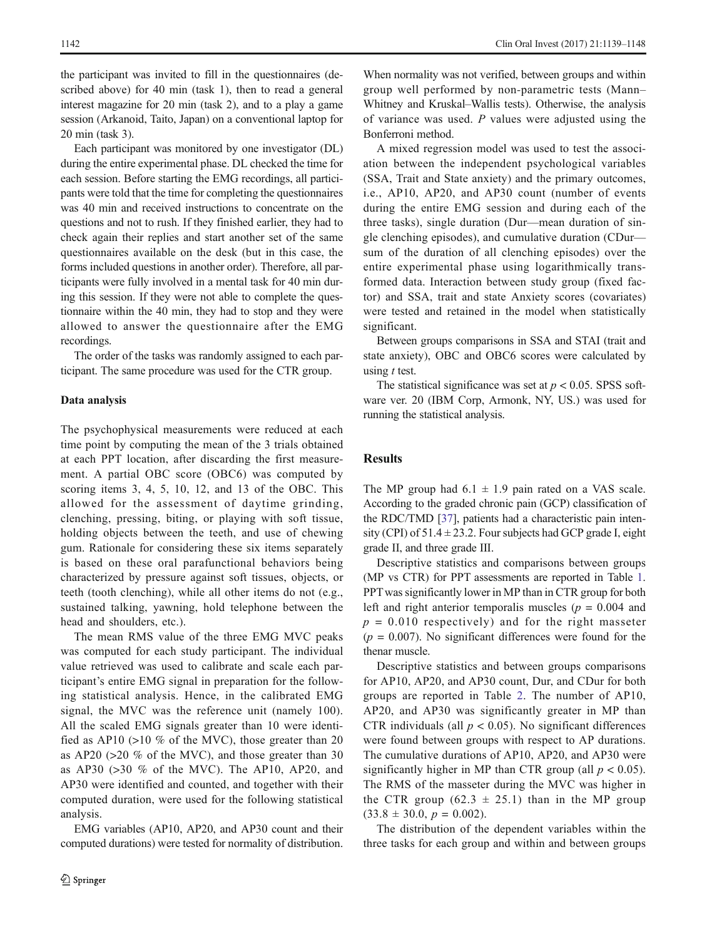the participant was invited to fill in the questionnaires (described above) for 40 min (task 1), then to read a general interest magazine for 20 min (task 2), and to a play a game session (Arkanoid, Taito, Japan) on a conventional laptop for 20 min (task 3).

Each participant was monitored by one investigator (DL) during the entire experimental phase. DL checked the time for each session. Before starting the EMG recordings, all participants were told that the time for completing the questionnaires was 40 min and received instructions to concentrate on the questions and not to rush. If they finished earlier, they had to check again their replies and start another set of the same questionnaires available on the desk (but in this case, the forms included questions in another order). Therefore, all participants were fully involved in a mental task for 40 min during this session. If they were not able to complete the questionnaire within the 40 min, they had to stop and they were allowed to answer the questionnaire after the EMG recordings.

The order of the tasks was randomly assigned to each participant. The same procedure was used for the CTR group.

# Data analysis

The psychophysical measurements were reduced at each time point by computing the mean of the 3 trials obtained at each PPT location, after discarding the first measurement. A partial OBC score (OBC6) was computed by scoring items 3, 4, 5, 10, 12, and 13 of the OBC. This allowed for the assessment of daytime grinding, clenching, pressing, biting, or playing with soft tissue, holding objects between the teeth, and use of chewing gum. Rationale for considering these six items separately is based on these oral parafunctional behaviors being characterized by pressure against soft tissues, objects, or teeth (tooth clenching), while all other items do not (e.g., sustained talking, yawning, hold telephone between the head and shoulders, etc.).

The mean RMS value of the three EMG MVC peaks was computed for each study participant. The individual value retrieved was used to calibrate and scale each participant's entire EMG signal in preparation for the following statistical analysis. Hence, in the calibrated EMG signal, the MVC was the reference unit (namely 100). All the scaled EMG signals greater than 10 were identified as AP10 (>10 % of the MVC), those greater than 20 as AP20 (>20 % of the MVC), and those greater than 30 as AP30 (>30 % of the MVC). The AP10, AP20, and AP30 were identified and counted, and together with their computed duration, were used for the following statistical analysis.

EMG variables (AP10, AP20, and AP30 count and their computed durations) were tested for normality of distribution.

When normality was not verified, between groups and within group well performed by non-parametric tests (Mann– Whitney and Kruskal–Wallis tests). Otherwise, the analysis of variance was used. P values were adjusted using the Bonferroni method.

A mixed regression model was used to test the association between the independent psychological variables (SSA, Trait and State anxiety) and the primary outcomes, i.e., AP10, AP20, and AP30 count (number of events during the entire EMG session and during each of the three tasks), single duration (Dur—mean duration of single clenching episodes), and cumulative duration (CDur sum of the duration of all clenching episodes) over the entire experimental phase using logarithmically transformed data. Interaction between study group (fixed factor) and SSA, trait and state Anxiety scores (covariates) were tested and retained in the model when statistically significant.

Between groups comparisons in SSA and STAI (trait and state anxiety), OBC and OBC6 scores were calculated by using  $t$  test.

The statistical significance was set at  $p < 0.05$ . SPSS software ver. 20 (IBM Corp, Armonk, NY, US.) was used for running the statistical analysis.

# **Results**

The MP group had  $6.1 \pm 1.9$  pain rated on a VAS scale. According to the graded chronic pain (GCP) classification of the RDC/TMD [[37\]](#page-8-0), patients had a characteristic pain intensity (CPI) of  $51.4 \pm 23.2$ . Four subjects had GCP grade I, eight grade II, and three grade III.

Descriptive statistics and comparisons between groups (MP vs CTR) for PPT assessments are reported in Table [1.](#page-4-0) PPTwas significantly lower in MP than in CTR group for both left and right anterior temporalis muscles ( $p = 0.004$  and  $p = 0.010$  respectively) and for the right masseter  $(p = 0.007)$ . No significant differences were found for the thenar muscle.

Descriptive statistics and between groups comparisons for AP10, AP20, and AP30 count, Dur, and CDur for both groups are reported in Table [2.](#page-4-0) The number of AP10, AP20, and AP30 was significantly greater in MP than CTR individuals (all  $p < 0.05$ ). No significant differences were found between groups with respect to AP durations. The cumulative durations of AP10, AP20, and AP30 were significantly higher in MP than CTR group (all  $p < 0.05$ ). The RMS of the masseter during the MVC was higher in the CTR group (62.3  $\pm$  25.1) than in the MP group  $(33.8 \pm 30.0, p = 0.002).$ 

The distribution of the dependent variables within the three tasks for each group and within and between groups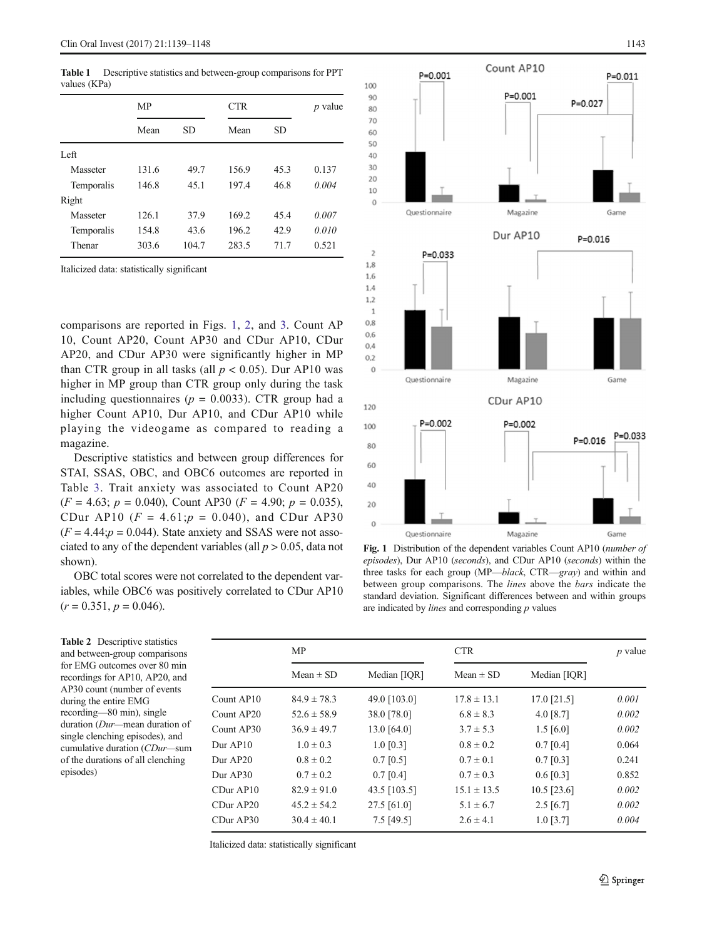<span id="page-4-0"></span>Table 1 Descriptive statistics and between-group comparisons for PPT values (KPa)

|            | <b>MP</b> |       | <b>CTR</b> |      | $p$ value |  |
|------------|-----------|-------|------------|------|-----------|--|
|            | Mean      | SD.   | Mean       | SD.  |           |  |
| Left       |           |       |            |      |           |  |
| Masseter   | 131.6     | 49.7  | 156.9      | 45.3 | 0.137     |  |
| Temporalis | 146.8     | 45.1  | 197.4      | 46.8 | 0.004     |  |
| Right      |           |       |            |      |           |  |
| Masseter   | 126.1     | 37.9  | 169.2      | 45.4 | 0.007     |  |
| Temporalis | 154.8     | 43.6  | 196.2      | 42.9 | 0.010     |  |
| Thenar     | 303.6     | 104.7 | 283.5      | 71.7 | 0.521     |  |
|            |           |       |            |      |           |  |

Italicized data: statistically significant

comparisons are reported in Figs. 1, [2](#page-5-0), and [3](#page-5-0). Count AP 10, Count AP20, Count AP30 and CDur AP10, CDur AP20, and CDur AP30 were significantly higher in MP than CTR group in all tasks (all  $p < 0.05$ ). Dur AP10 was higher in MP group than CTR group only during the task including questionnaires ( $p = 0.0033$ ). CTR group had a higher Count AP10, Dur AP10, and CDur AP10 while playing the videogame as compared to reading a magazine.

Descriptive statistics and between group differences for STAI, SSAS, OBC, and OBC6 outcomes are reported in Table [3](#page-5-0). Trait anxiety was associated to Count AP20  $(F = 4.63; p = 0.040)$ , Count AP30  $(F = 4.90; p = 0.035)$ , CDur AP10 ( $F = 4.61; p = 0.040$ ), and CDur AP30  $(F = 4.44; p = 0.044)$ . State anxiety and SSAS were not associated to any of the dependent variables (all  $p > 0.05$ , data not shown).

OBC total scores were not correlated to the dependent variables, while OBC6 was positively correlated to CDur AP10  $(r = 0.351, p = 0.046).$ 



Fig. 1 Distribution of the dependent variables Count AP10 (number of episodes), Dur AP10 (seconds), and CDur AP10 (seconds) within the three tasks for each group (MP—black, CTR—gray) and within and between group comparisons. The lines above the bars indicate the standard deviation. Significant differences between and within groups are indicated by *lines* and corresponding  $p$  values

Table 2 Descriptive statistics and between-group comparisons for EMG outcomes over 80 min recordings for AP10, AP20, and AP30 count (number of events during the entire EMG recording—80 min), single duration (Dur—mean duration of single clenching episodes), and cumulative duration (CDur—sum of the durations of all clenching episodes)

|             | <b>MP</b>       |               | <b>CTR</b>      |               | <i>p</i> value |
|-------------|-----------------|---------------|-----------------|---------------|----------------|
|             | Mean $\pm$ SD   | Median [IQR]  | Mean $\pm$ SD   | Median [IQR]  |                |
| Count AP10  | $84.9 \pm 78.3$ | 49.0 [103.0]  | $17.8 \pm 13.1$ | 17.0 [21.5]   | 0.001          |
| Count AP20  | $52.6 \pm 58.9$ | 38.0 [78.0]   | $6.8 \pm 8.3$   | 4.0 $[8.7]$   | 0.002          |
| Count AP30  | $36.9 \pm 49.7$ | 13.0 [64.0]   | $3.7 \pm 5.3$   | $1.5$ [6.0]   | 0.002          |
| $Dur$ AP10  | $1.0 \pm 0.3$   | $1.0$ [0.3]   | $0.8 \pm 0.2$   | $0.7$ [0.4]   | 0.064          |
| Dur AP20    | $0.8 \pm 0.2$   | $0.7$ [0.5]   | $0.7 \pm 0.1$   | $0.7$ [0.3]   | 0.241          |
| $Dur$ AP30  | $0.7 \pm 0.2$   | $0.7$ [0.4]   | $0.7 \pm 0.3$   | $0.6$ [0.3]   | 0.852          |
| $CDur$ AP10 | $82.9 \pm 91.0$ | 43.5 [103.5]  | $15.1 \pm 13.5$ | $10.5$ [23.6] | 0.002          |
| $CDur$ AP20 | $45.2 \pm 54.2$ | $27.5$ [61.0] | $5.1 \pm 6.7$   | $2.5$ [6.7]   | 0.002          |
| $CDur$ AP30 | $30.4 \pm 40.1$ | $7.5$ [49.5]  | $2.6 \pm 4.1$   | $1.0$ [3.7]   | 0.004          |

Italicized data: statistically significant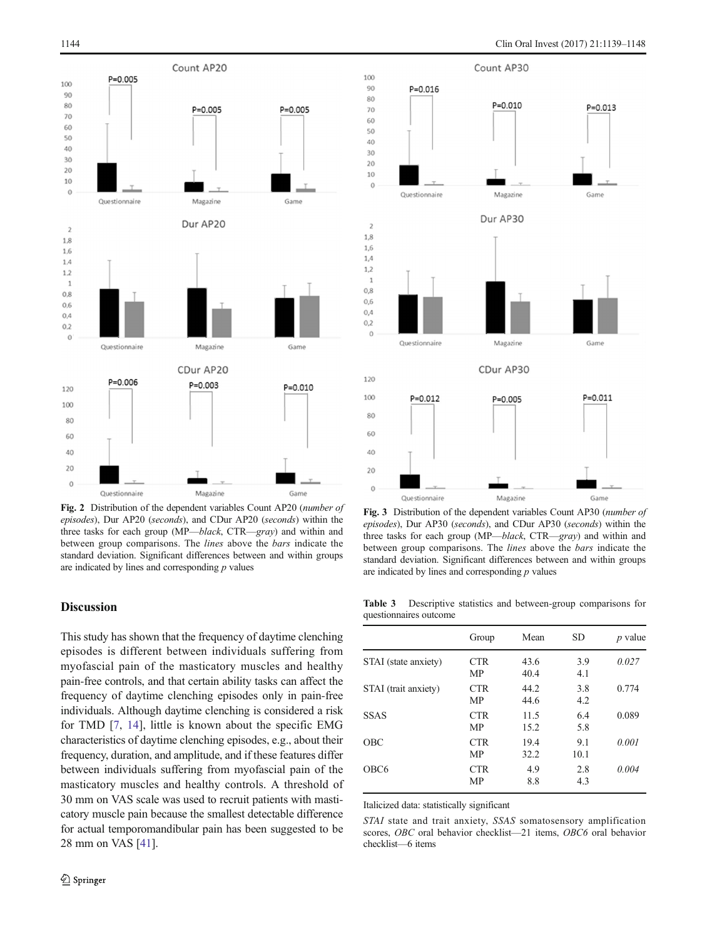<span id="page-5-0"></span>

Fig. 2 Distribution of the dependent variables Count AP20 (number of episodes), Dur AP20 (seconds), and CDur AP20 (seconds) within the three tasks for each group (MP—black, CTR—gray) and within and between group comparisons. The lines above the bars indicate the standard deviation. Significant differences between and within groups are indicated by lines and corresponding  $p$  values

# **Discussion**

This study has shown that the frequency of daytime clenching episodes is different between individuals suffering from myofascial pain of the masticatory muscles and healthy pain-free controls, and that certain ability tasks can affect the frequency of daytime clenching episodes only in pain-free individuals. Although daytime clenching is considered a risk for TMD [[7,](#page-7-0) [14](#page-8-0)], little is known about the specific EMG characteristics of daytime clenching episodes, e.g., about their frequency, duration, and amplitude, and if these features differ between individuals suffering from myofascial pain of the masticatory muscles and healthy controls. A threshold of 30 mm on VAS scale was used to recruit patients with masticatory muscle pain because the smallest detectable difference for actual temporomandibular pain has been suggested to be 28 mm on VAS [\[41\]](#page-8-0).



Fig. 3 Distribution of the dependent variables Count AP30 (number of episodes), Dur AP30 (seconds), and CDur AP30 (seconds) within the three tasks for each group (MP—black, CTR—gray) and within and between group comparisons. The lines above the bars indicate the standard deviation. Significant differences between and within groups are indicated by lines and corresponding  $p$  values

Table 3 Descriptive statistics and between-group comparisons for questionnaires outcome

|                      | Group                   | Mean         | <b>SD</b>   | <i>p</i> value |
|----------------------|-------------------------|--------------|-------------|----------------|
| STAI (state anxiety) | <b>CTR</b><br>MP        | 43.6<br>40.4 | 3.9<br>4.1  | 0.027          |
| STAI (trait anxiety) | <b>CTR</b><br><b>MP</b> | 44.2<br>44.6 | 3.8<br>4.2  | 0.774          |
| <b>SSAS</b>          | <b>CTR</b><br><b>MP</b> | 11.5<br>15.2 | 6.4<br>5.8  | 0.089          |
| OBC                  | <b>CTR</b><br><b>MP</b> | 19.4<br>32.2 | 9.1<br>10.1 | 0.001          |
| OBC <sub>6</sub>     | <b>CTR</b><br>MP        | 4.9<br>8.8   | 2.8<br>4.3  | 0.004          |

Italicized data: statistically significant

STAI state and trait anxiety, SSAS somatosensory amplification scores, OBC oral behavior checklist—21 items, OBC6 oral behavior checklist—6 items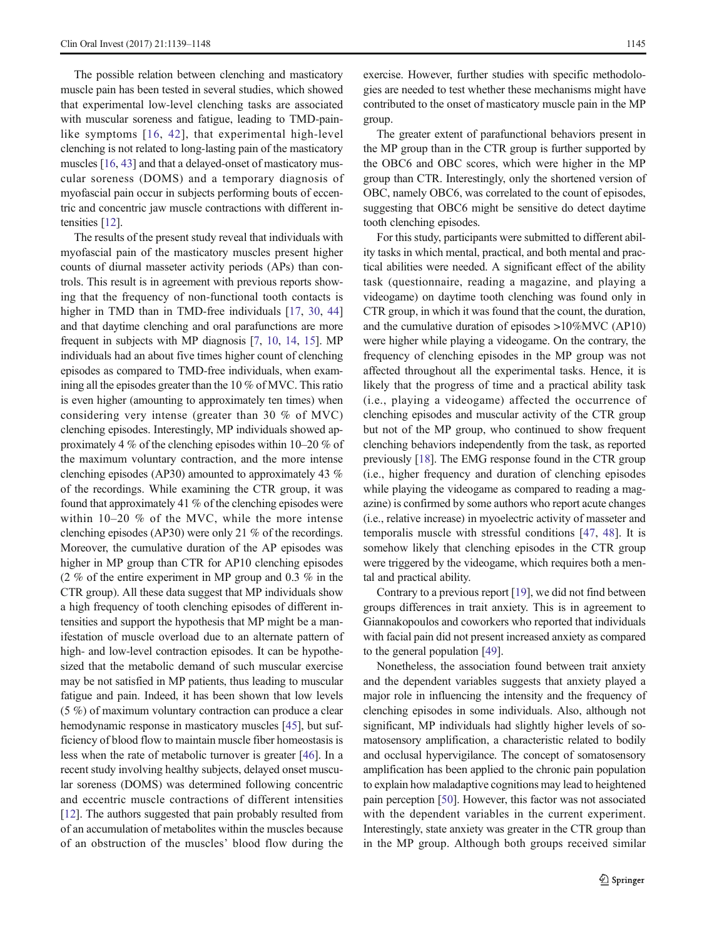The possible relation between clenching and masticatory muscle pain has been tested in several studies, which showed that experimental low-level clenching tasks are associated with muscular soreness and fatigue, leading to TMD-painlike symptoms [[16,](#page-8-0) [42\]](#page-8-0), that experimental high-level clenching is not related to long-lasting pain of the masticatory muscles [[16](#page-8-0), [43\]](#page-8-0) and that a delayed-onset of masticatory muscular soreness (DOMS) and a temporary diagnosis of myofascial pain occur in subjects performing bouts of eccentric and concentric jaw muscle contractions with different intensities [\[12\]](#page-8-0).

The results of the present study reveal that individuals with myofascial pain of the masticatory muscles present higher counts of diurnal masseter activity periods (APs) than controls. This result is in agreement with previous reports showing that the frequency of non-functional tooth contacts is higher in TMD than in TMD-free individuals [[17,](#page-8-0) [30,](#page-8-0) [44\]](#page-8-0) and that daytime clenching and oral parafunctions are more frequent in subjects with MP diagnosis [[7,](#page-7-0) [10](#page-7-0), [14](#page-8-0), [15\]](#page-8-0). MP individuals had an about five times higher count of clenching episodes as compared to TMD-free individuals, when examining all the episodes greater than the 10 % of MVC. This ratio is even higher (amounting to approximately ten times) when considering very intense (greater than 30 % of MVC) clenching episodes. Interestingly, MP individuals showed approximately 4 % of the clenching episodes within 10–20 % of the maximum voluntary contraction, and the more intense clenching episodes (AP30) amounted to approximately 43 % of the recordings. While examining the CTR group, it was found that approximately 41 % of the clenching episodes were within 10–20 % of the MVC, while the more intense clenching episodes (AP30) were only 21 % of the recordings. Moreover, the cumulative duration of the AP episodes was higher in MP group than CTR for AP10 clenching episodes (2 % of the entire experiment in MP group and 0.3 % in the CTR group). All these data suggest that MP individuals show a high frequency of tooth clenching episodes of different intensities and support the hypothesis that MP might be a manifestation of muscle overload due to an alternate pattern of high- and low-level contraction episodes. It can be hypothesized that the metabolic demand of such muscular exercise may be not satisfied in MP patients, thus leading to muscular fatigue and pain. Indeed, it has been shown that low levels (5 %) of maximum voluntary contraction can produce a clear hemodynamic response in masticatory muscles [[45\]](#page-8-0), but sufficiency of blood flow to maintain muscle fiber homeostasis is less when the rate of metabolic turnover is greater [\[46](#page-8-0)]. In a recent study involving healthy subjects, delayed onset muscular soreness (DOMS) was determined following concentric and eccentric muscle contractions of different intensities [\[12\]](#page-8-0). The authors suggested that pain probably resulted from of an accumulation of metabolites within the muscles because of an obstruction of the muscles' blood flow during the

exercise. However, further studies with specific methodologies are needed to test whether these mechanisms might have contributed to the onset of masticatory muscle pain in the MP group.

The greater extent of parafunctional behaviors present in the MP group than in the CTR group is further supported by the OBC6 and OBC scores, which were higher in the MP group than CTR. Interestingly, only the shortened version of OBC, namely OBC6, was correlated to the count of episodes, suggesting that OBC6 might be sensitive do detect daytime tooth clenching episodes.

For this study, participants were submitted to different ability tasks in which mental, practical, and both mental and practical abilities were needed. A significant effect of the ability task (questionnaire, reading a magazine, and playing a videogame) on daytime tooth clenching was found only in CTR group, in which it was found that the count, the duration, and the cumulative duration of episodes >10%MVC (AP10) were higher while playing a videogame. On the contrary, the frequency of clenching episodes in the MP group was not affected throughout all the experimental tasks. Hence, it is likely that the progress of time and a practical ability task (i.e., playing a videogame) affected the occurrence of clenching episodes and muscular activity of the CTR group but not of the MP group, who continued to show frequent clenching behaviors independently from the task, as reported previously [[18\]](#page-8-0). The EMG response found in the CTR group (i.e., higher frequency and duration of clenching episodes while playing the videogame as compared to reading a magazine) is confirmed by some authors who report acute changes (i.e., relative increase) in myoelectric activity of masseter and temporalis muscle with stressful conditions [[47,](#page-8-0) [48](#page-8-0)]. It is somehow likely that clenching episodes in the CTR group were triggered by the videogame, which requires both a mental and practical ability.

Contrary to a previous report [\[19\]](#page-8-0), we did not find between groups differences in trait anxiety. This is in agreement to Giannakopoulos and coworkers who reported that individuals with facial pain did not present increased anxiety as compared to the general population [\[49\]](#page-9-0).

Nonetheless, the association found between trait anxiety and the dependent variables suggests that anxiety played a major role in influencing the intensity and the frequency of clenching episodes in some individuals. Also, although not significant, MP individuals had slightly higher levels of somatosensory amplification, a characteristic related to bodily and occlusal hypervigilance. The concept of somatosensory amplification has been applied to the chronic pain population to explain how maladaptive cognitions may lead to heightened pain perception [\[50\]](#page-9-0). However, this factor was not associated with the dependent variables in the current experiment. Interestingly, state anxiety was greater in the CTR group than in the MP group. Although both groups received similar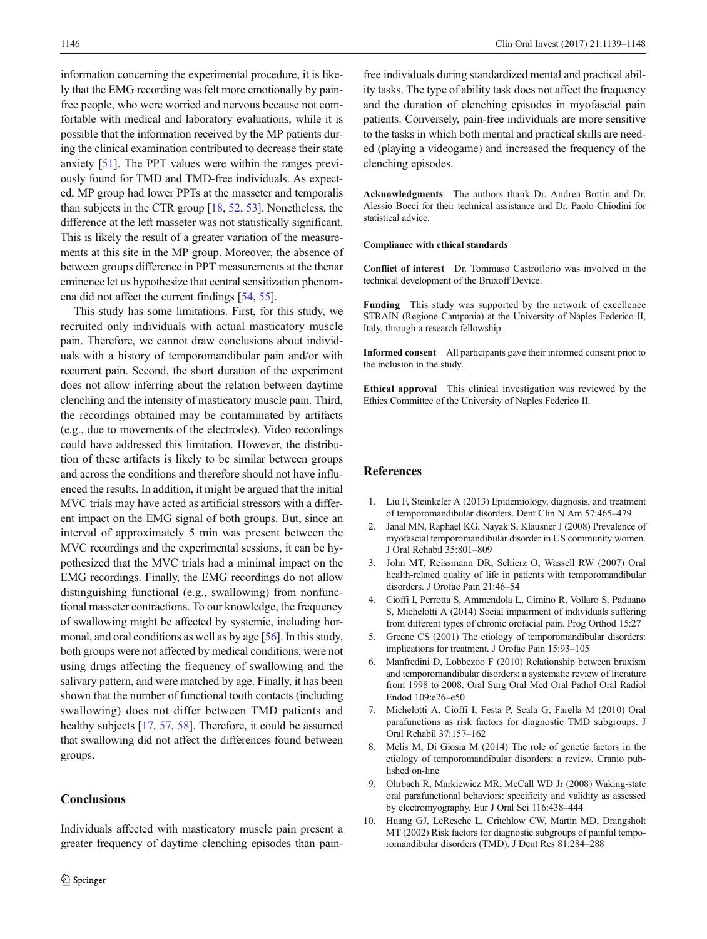<span id="page-7-0"></span>information concerning the experimental procedure, it is likely that the EMG recording was felt more emotionally by painfree people, who were worried and nervous because not comfortable with medical and laboratory evaluations, while it is possible that the information received by the MP patients during the clinical examination contributed to decrease their state anxiety [\[51\]](#page-9-0). The PPT values were within the ranges previously found for TMD and TMD-free individuals. As expected, MP group had lower PPTs at the masseter and temporalis than subjects in the CTR group [[18,](#page-8-0) [52](#page-9-0), [53](#page-9-0)]. Nonetheless, the difference at the left masseter was not statistically significant. This is likely the result of a greater variation of the measurements at this site in the MP group. Moreover, the absence of between groups difference in PPT measurements at the thenar eminence let us hypothesize that central sensitization phenomena did not affect the current findings [\[54](#page-9-0), [55\]](#page-9-0).

This study has some limitations. First, for this study, we recruited only individuals with actual masticatory muscle pain. Therefore, we cannot draw conclusions about individuals with a history of temporomandibular pain and/or with recurrent pain. Second, the short duration of the experiment does not allow inferring about the relation between daytime clenching and the intensity of masticatory muscle pain. Third, the recordings obtained may be contaminated by artifacts (e.g., due to movements of the electrodes). Video recordings could have addressed this limitation. However, the distribution of these artifacts is likely to be similar between groups and across the conditions and therefore should not have influenced the results. In addition, it might be argued that the initial MVC trials may have acted as artificial stressors with a different impact on the EMG signal of both groups. But, since an interval of approximately 5 min was present between the MVC recordings and the experimental sessions, it can be hypothesized that the MVC trials had a minimal impact on the EMG recordings. Finally, the EMG recordings do not allow distinguishing functional (e.g., swallowing) from nonfunctional masseter contractions. To our knowledge, the frequency of swallowing might be affected by systemic, including hormonal, and oral conditions as well as by age [\[56](#page-9-0)]. In this study, both groups were not affected by medical conditions, were not using drugs affecting the frequency of swallowing and the salivary pattern, and were matched by age. Finally, it has been shown that the number of functional tooth contacts (including swallowing) does not differ between TMD patients and healthy subjects [\[17](#page-8-0), [57](#page-9-0), [58](#page-9-0)]. Therefore, it could be assumed that swallowing did not affect the differences found between groups.

# **Conclusions**

Individuals affected with masticatory muscle pain present a greater frequency of daytime clenching episodes than pain-

free individuals during standardized mental and practical ability tasks. The type of ability task does not affect the frequency and the duration of clenching episodes in myofascial pain patients. Conversely, pain-free individuals are more sensitive to the tasks in which both mental and practical skills are needed (playing a videogame) and increased the frequency of the clenching episodes.

Acknowledgments The authors thank Dr. Andrea Bottin and Dr. Alessio Bocci for their technical assistance and Dr. Paolo Chiodini for statistical advice.

### Compliance with ethical standards

Conflict of interest Dr. Tommaso Castroflorio was involved in the technical development of the Bruxoff Device.

Funding This study was supported by the network of excellence STRAIN (Regione Campania) at the University of Naples Federico II, Italy, through a research fellowship.

Informed consent All participants gave their informed consent prior to the inclusion in the study.

Ethical approval This clinical investigation was reviewed by the Ethics Committee of the University of Naples Federico II.

# References

- 1. Liu F, Steinkeler A (2013) Epidemiology, diagnosis, and treatment of temporomandibular disorders. Dent Clin N Am 57:465–479
- 2. Janal MN, Raphael KG, Nayak S, Klausner J (2008) Prevalence of myofascial temporomandibular disorder in US community women. J Oral Rehabil 35:801–809
- 3. John MT, Reissmann DR, Schierz O, Wassell RW (2007) Oral health-related quality of life in patients with temporomandibular disorders. J Orofac Pain 21:46–54
- 4. Cioffi I, Perrotta S, Ammendola L, Cimino R, Vollaro S, Paduano S, Michelotti A (2014) Social impairment of individuals suffering from different types of chronic orofacial pain. Prog Orthod 15:27
- 5. Greene CS (2001) The etiology of temporomandibular disorders: implications for treatment. J Orofac Pain 15:93–105
- 6. Manfredini D, Lobbezoo F (2010) Relationship between bruxism and temporomandibular disorders: a systematic review of literature from 1998 to 2008. Oral Surg Oral Med Oral Pathol Oral Radiol Endod 109:e26–e50
- 7. Michelotti A, Cioffi I, Festa P, Scala G, Farella M (2010) Oral parafunctions as risk factors for diagnostic TMD subgroups. J Oral Rehabil 37:157–162
- 8. Melis M, Di Giosia M (2014) The role of genetic factors in the etiology of temporomandibular disorders: a review. Cranio published on-line
- 9. Ohrbach R, Markiewicz MR, McCall WD Jr (2008) Waking-state oral parafunctional behaviors: specificity and validity as assessed by electromyography. Eur J Oral Sci 116:438–444
- 10. Huang GJ, LeResche L, Critchlow CW, Martin MD, Drangsholt MT (2002) Risk factors for diagnostic subgroups of painful temporomandibular disorders (TMD). J Dent Res 81:284–288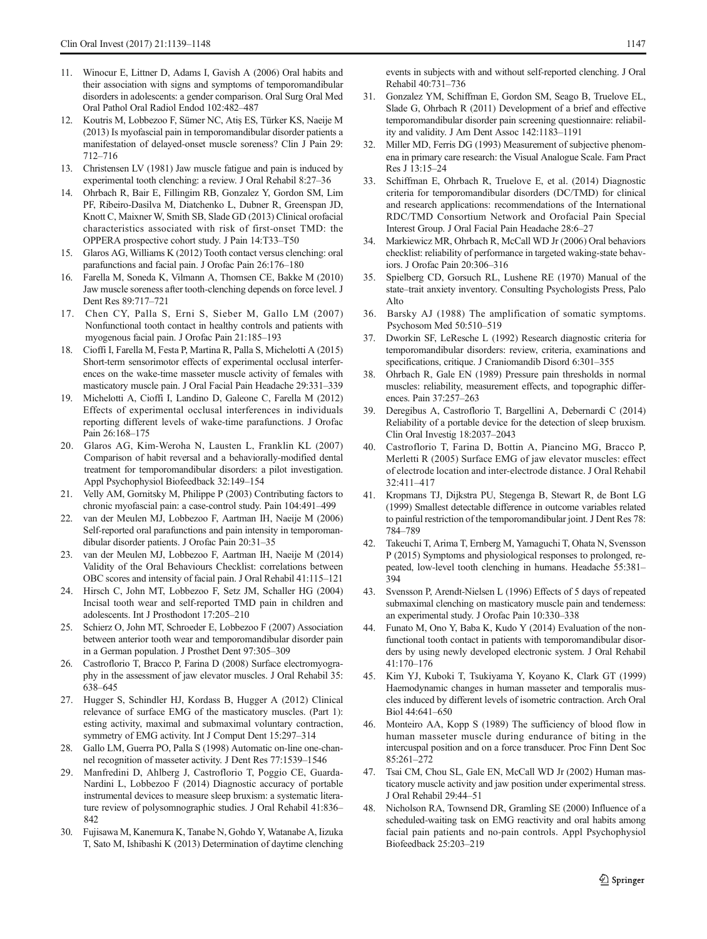- <span id="page-8-0"></span>11. Winocur E, Littner D, Adams I, Gavish A (2006) Oral habits and their association with signs and symptoms of temporomandibular disorders in adolescents: a gender comparison. Oral Surg Oral Med Oral Pathol Oral Radiol Endod 102:482–487
- 12. Koutris M, Lobbezoo F, Sümer NC, Atiş ES, Türker KS, Naeije M (2013) Is myofascial pain in temporomandibular disorder patients a manifestation of delayed-onset muscle soreness? Clin J Pain 29: 712–716
- 13. Christensen LV (1981) Jaw muscle fatigue and pain is induced by experimental tooth clenching: a review. J Oral Rehabil 8:27–36
- 14. Ohrbach R, Bair E, Fillingim RB, Gonzalez Y, Gordon SM, Lim PF, Ribeiro-Dasilva M, Diatchenko L, Dubner R, Greenspan JD, Knott C, Maixner W, Smith SB, Slade GD (2013) Clinical orofacial characteristics associated with risk of first-onset TMD: the OPPERA prospective cohort study. J Pain 14:T33–T50
- 15. Glaros AG, Williams K (2012) Tooth contact versus clenching: oral parafunctions and facial pain. J Orofac Pain 26:176–180
- 16. Farella M, Soneda K, Vilmann A, Thomsen CE, Bakke M (2010) Jaw muscle soreness after tooth-clenching depends on force level. J Dent Res 89:717–721
- 17. Chen CY, Palla S, Erni S, Sieber M, Gallo LM (2007) Nonfunctional tooth contact in healthy controls and patients with myogenous facial pain. J Orofac Pain 21:185–193
- 18. Cioffi I, Farella M, Festa P, Martina R, Palla S, Michelotti A (2015) Short-term sensorimotor effects of experimental occlusal interferences on the wake-time masseter muscle activity of females with masticatory muscle pain. J Oral Facial Pain Headache 29:331–339
- 19. Michelotti A, Cioffi I, Landino D, Galeone C, Farella M (2012) Effects of experimental occlusal interferences in individuals reporting different levels of wake-time parafunctions. J Orofac Pain 26:168–175
- 20. Glaros AG, Kim-Weroha N, Lausten L, Franklin KL (2007) Comparison of habit reversal and a behaviorally-modified dental treatment for temporomandibular disorders: a pilot investigation. Appl Psychophysiol Biofeedback 32:149–154
- 21. Velly AM, Gornitsky M, Philippe P (2003) Contributing factors to chronic myofascial pain: a case-control study. Pain 104:491–499
- 22. van der Meulen MJ, Lobbezoo F, Aartman IH, Naeije M (2006) Self-reported oral parafunctions and pain intensity in temporomandibular disorder patients. J Orofac Pain 20:31–35
- 23. van der Meulen MJ, Lobbezoo F, Aartman IH, Naeije M (2014) Validity of the Oral Behaviours Checklist: correlations between OBC scores and intensity of facial pain. J Oral Rehabil 41:115–121
- 24. Hirsch C, John MT, Lobbezoo F, Setz JM, Schaller HG (2004) Incisal tooth wear and self-reported TMD pain in children and adolescents. Int J Prosthodont 17:205–210
- 25. Schierz O, John MT, Schroeder E, Lobbezoo F (2007) Association between anterior tooth wear and temporomandibular disorder pain in a German population. J Prosthet Dent 97:305–309
- 26. Castroflorio T, Bracco P, Farina D (2008) Surface electromyography in the assessment of jaw elevator muscles. J Oral Rehabil 35: 638–645
- 27. Hugger S, Schindler HJ, Kordass B, Hugger A (2012) Clinical relevance of surface EMG of the masticatory muscles. (Part 1): esting activity, maximal and submaximal voluntary contraction, symmetry of EMG activity. Int J Comput Dent 15:297–314
- 28. Gallo LM, Guerra PO, Palla S (1998) Automatic on-line one-channel recognition of masseter activity. J Dent Res 77:1539–1546
- 29. Manfredini D, Ahlberg J, Castroflorio T, Poggio CE, Guarda-Nardini L, Lobbezoo F (2014) Diagnostic accuracy of portable instrumental devices to measure sleep bruxism: a systematic literature review of polysomnographic studies. J Oral Rehabil 41:836– 842
- 30. Fujisawa M, Kanemura K, Tanabe N, Gohdo Y, Watanabe A, Iizuka T, Sato M, Ishibashi K (2013) Determination of daytime clenching

events in subjects with and without self-reported clenching. J Oral Rehabil 40:731–736

- 31. Gonzalez YM, Schiffman E, Gordon SM, Seago B, Truelove EL, Slade G, Ohrbach R (2011) Development of a brief and effective temporomandibular disorder pain screening questionnaire: reliability and validity. J Am Dent Assoc 142:1183–1191
- 32. Miller MD, Ferris DG (1993) Measurement of subjective phenomena in primary care research: the Visual Analogue Scale. Fam Pract Res J 13:15–24
- 33. Schiffman E, Ohrbach R, Truelove E, et al. (2014) Diagnostic criteria for temporomandibular disorders (DC/TMD) for clinical and research applications: recommendations of the International RDC/TMD Consortium Network and Orofacial Pain Special Interest Group. J Oral Facial Pain Headache 28:6–27
- 34. Markiewicz MR, Ohrbach R, McCall WD Jr (2006) Oral behaviors checklist: reliability of performance in targeted waking-state behaviors. J Orofac Pain 20:306–316
- 35. Spielberg CD, Gorsuch RL, Lushene RE (1970) Manual of the state–trait anxiety inventory. Consulting Psychologists Press, Palo Alto
- 36. Barsky AJ (1988) The amplification of somatic symptoms. Psychosom Med 50:510–519
- 37. Dworkin SF, LeResche L (1992) Research diagnostic criteria for temporomandibular disorders: review, criteria, examinations and specifications, critique. J Craniomandib Disord 6:301–355
- 38. Ohrbach R, Gale EN (1989) Pressure pain thresholds in normal muscles: reliability, measurement effects, and topographic differences. Pain 37:257–263
- 39. Deregibus A, Castroflorio T, Bargellini A, Debernardi C (2014) Reliability of a portable device for the detection of sleep bruxism. Clin Oral Investig 18:2037–2043
- Castroflorio T, Farina D, Bottin A, Piancino MG, Bracco P, Merletti R (2005) Surface EMG of jaw elevator muscles: effect of electrode location and inter-electrode distance. J Oral Rehabil  $32.411 - 417$
- 41. Kropmans TJ, Dijkstra PU, Stegenga B, Stewart R, de Bont LG (1999) Smallest detectable difference in outcome variables related to painful restriction of the temporomandibular joint. J Dent Res 78: 784–789
- 42. Takeuchi T, Arima T, Ernberg M, Yamaguchi T, Ohata N, Svensson P (2015) Symptoms and physiological responses to prolonged, repeated, low-level tooth clenching in humans. Headache 55:381– 394
- 43. Svensson P, Arendt-Nielsen L (1996) Effects of 5 days of repeated submaximal clenching on masticatory muscle pain and tenderness: an experimental study. J Orofac Pain 10:330–338
- 44. Funato M, Ono Y, Baba K, Kudo Y (2014) Evaluation of the nonfunctional tooth contact in patients with temporomandibular disorders by using newly developed electronic system. J Oral Rehabil 41:170–176
- 45. Kim YJ, Kuboki T, Tsukiyama Y, Koyano K, Clark GT (1999) Haemodynamic changes in human masseter and temporalis muscles induced by different levels of isometric contraction. Arch Oral Biol 44:641–650
- 46. Monteiro AA, Kopp S (1989) The sufficiency of blood flow in human masseter muscle during endurance of biting in the intercuspal position and on a force transducer. Proc Finn Dent Soc 85:261–272
- 47. Tsai CM, Chou SL, Gale EN, McCall WD Jr (2002) Human masticatory muscle activity and jaw position under experimental stress. J Oral Rehabil 29:44–51
- 48. Nicholson RA, Townsend DR, Gramling SE (2000) Influence of a scheduled-waiting task on EMG reactivity and oral habits among facial pain patients and no-pain controls. Appl Psychophysiol Biofeedback 25:203–219